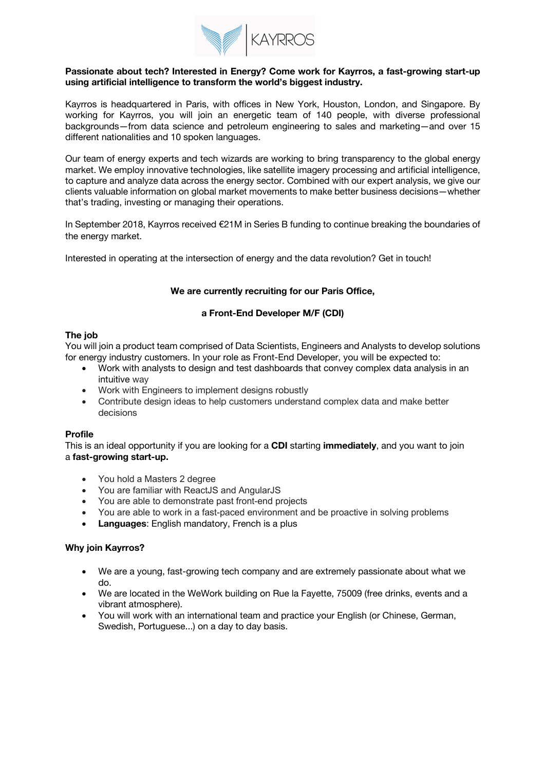

### **Passionate about tech? Interested in Energy? Come work for Kayrros, a fast-growing start-up using artificial intelligence to transform the world's biggest industry.**

Kayrros is headquartered in Paris, with offices in New York, Houston, London, and Singapore. By working for Kayrros, you will join an energetic team of 140 people, with diverse professional backgrounds—from data science and petroleum engineering to sales and marketing—and over 15 different nationalities and 10 spoken languages.

Our team of energy experts and tech wizards are working to bring transparency to the global energy market. We employ innovative technologies, like satellite imagery processing and artificial intelligence, to capture and analyze data across the energy sector. Combined with our expert analysis, we give our clients valuable information on global market movements to make better business decisions—whether that's trading, investing or managing their operations.

In September 2018, Kayrros received €21M in Series B funding to continue breaking the boundaries of the energy market.

Interested in operating at the intersection of energy and the data revolution? Get in touch!

### **We are currently recruiting for our Paris Office,**

## **a Front-End Developer M/F (CDI)**

### **The job**

You will join a product team comprised of Data Scientists, Engineers and Analysts to develop solutions for energy industry customers. In your role as Front-End Developer, you will be expected to:

- Work with analysts to design and test dashboards that convey complex data analysis in an intuitive way
- Work with Engineers to implement designs robustly
- Contribute design ideas to help customers understand complex data and make better decisions

## **Profile**

This is an ideal opportunity if you are looking for a **CDI** starting **immediately**, and you want to join a **fast-growing start-up.**

- You hold a Masters 2 degree
- You are familiar with ReactJS and AngularJS
- You are able to demonstrate past front-end projects
- You are able to work in a fast-paced environment and be proactive in solving problems
- **Languages**: English mandatory, French is a plus

#### **Why join Kayrros?**

- We are a young, fast-growing tech company and are extremely passionate about what we do.
- We are located in the WeWork building on Rue la Fayette, 75009 (free drinks, events and a vibrant atmosphere).
- You will work with an international team and practice your English (or Chinese, German, Swedish, Portuguese...) on a day to day basis.